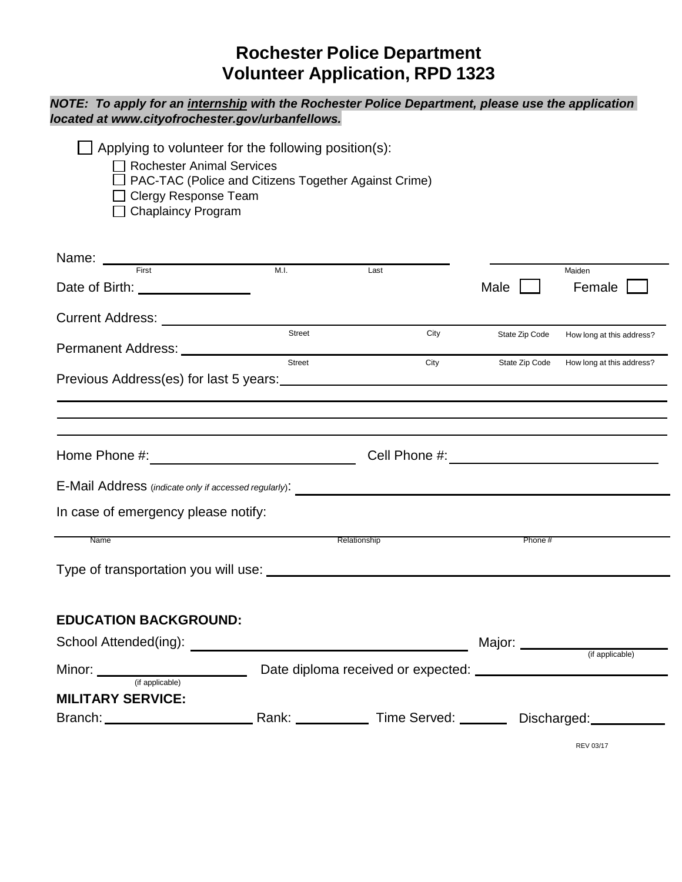## **Rochester Police Department Volunteer Application, RPD 1323**

## *NOTE: To apply for an internship with the Rochester Police Department, please use the application located at www.cityofrochester.gov/urbanfellows.*

| Applying to volunteer for the following position(s):<br><b>Rochester Animal Services</b><br>PAC-TAC (Police and Citizens Together Against Crime)<br>$\Box$ Clergy Response Team<br>$\Box$ Chaplaincy Program |        |              |                  |                                          |
|--------------------------------------------------------------------------------------------------------------------------------------------------------------------------------------------------------------|--------|--------------|------------------|------------------------------------------|
| Name: <u>First Einer School and Text</u>                                                                                                                                                                     | M.I.   | Last         |                  | Maiden                                   |
| Date of Birth: _________________                                                                                                                                                                             |        |              | Male             | Female                                   |
| Current Address: ______________________                                                                                                                                                                      |        |              |                  |                                          |
|                                                                                                                                                                                                              | Street | City         | State Zip Code   | How long at this address?                |
|                                                                                                                                                                                                              | Street | City         |                  | State Zip Code How long at this address? |
|                                                                                                                                                                                                              |        |              |                  |                                          |
|                                                                                                                                                                                                              |        |              |                  |                                          |
| In case of emergency please notify:                                                                                                                                                                          |        |              |                  |                                          |
| Name                                                                                                                                                                                                         |        | Relationship | Phone#           |                                          |
| <b>EDUCATION BACKGROUND:</b><br>School Attended(ing):                                                                                                                                                        |        |              | Major: _________ |                                          |
| (if applicable)                                                                                                                                                                                              |        |              |                  | (if applicable)                          |
| <b>MILITARY SERVICE:</b>                                                                                                                                                                                     |        |              |                  |                                          |
|                                                                                                                                                                                                              |        |              |                  |                                          |
|                                                                                                                                                                                                              |        |              |                  | <b>REV 03/17</b>                         |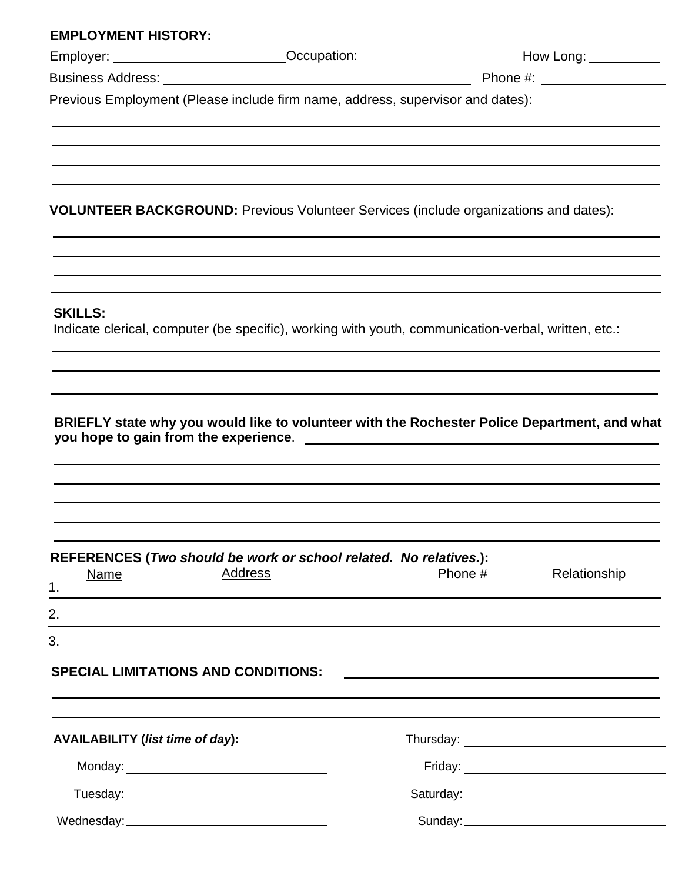| Employer: ____________________________Occupation: ___________________________How Long: ____________                   |                                                                                                                                                                                                                               |         |                                                                                                                  |
|-----------------------------------------------------------------------------------------------------------------------|-------------------------------------------------------------------------------------------------------------------------------------------------------------------------------------------------------------------------------|---------|------------------------------------------------------------------------------------------------------------------|
|                                                                                                                       |                                                                                                                                                                                                                               |         |                                                                                                                  |
| Previous Employment (Please include firm name, address, supervisor and dates):                                        |                                                                                                                                                                                                                               |         |                                                                                                                  |
|                                                                                                                       |                                                                                                                                                                                                                               |         |                                                                                                                  |
| <b>VOLUNTEER BACKGROUND:</b> Previous Volunteer Services (include organizations and dates):                           |                                                                                                                                                                                                                               |         |                                                                                                                  |
| <b>SKILLS:</b><br>Indicate clerical, computer (be specific), working with youth, communication-verbal, written, etc.: |                                                                                                                                                                                                                               |         |                                                                                                                  |
|                                                                                                                       |                                                                                                                                                                                                                               |         |                                                                                                                  |
|                                                                                                                       |                                                                                                                                                                                                                               |         |                                                                                                                  |
| BRIEFLY state why you would like to volunteer with the Rochester Police Department, and what                          |                                                                                                                                                                                                                               |         |                                                                                                                  |
|                                                                                                                       |                                                                                                                                                                                                                               |         |                                                                                                                  |
|                                                                                                                       |                                                                                                                                                                                                                               |         |                                                                                                                  |
|                                                                                                                       |                                                                                                                                                                                                                               |         |                                                                                                                  |
|                                                                                                                       |                                                                                                                                                                                                                               |         |                                                                                                                  |
|                                                                                                                       |                                                                                                                                                                                                                               |         |                                                                                                                  |
|                                                                                                                       |                                                                                                                                                                                                                               |         |                                                                                                                  |
|                                                                                                                       |                                                                                                                                                                                                                               |         |                                                                                                                  |
| REFERENCES (Two should be work or school related. No relatives.):                                                     |                                                                                                                                                                                                                               |         |                                                                                                                  |
| <b>Address</b><br><b>Name</b>                                                                                         |                                                                                                                                                                                                                               | Phone # | Relationship                                                                                                     |
|                                                                                                                       | the control of the control of the control of the control of the control of the control of the control of the control of the control of the control of the control of the control of the control of the control of the control |         |                                                                                                                  |
| ,我们也不会有什么。""我们的人,我们也不会有什么?""我们的人,我们也不会有什么?""我们的人,我们也不会有什么?""我们的人,我们也不会有什么?""我们的人                                      |                                                                                                                                                                                                                               |         |                                                                                                                  |
|                                                                                                                       |                                                                                                                                                                                                                               |         |                                                                                                                  |
|                                                                                                                       |                                                                                                                                                                                                                               |         |                                                                                                                  |
|                                                                                                                       |                                                                                                                                                                                                                               |         | and the control of the control of the control of the control of the control of the control of the control of the |
|                                                                                                                       |                                                                                                                                                                                                                               |         |                                                                                                                  |
|                                                                                                                       |                                                                                                                                                                                                                               |         |                                                                                                                  |
|                                                                                                                       |                                                                                                                                                                                                                               |         |                                                                                                                  |
| 1 <sub>1</sub><br>2.<br>3.<br><b>SPECIAL LIMITATIONS AND CONDITIONS:</b><br><b>AVAILABILITY (list time of day):</b>   |                                                                                                                                                                                                                               |         |                                                                                                                  |